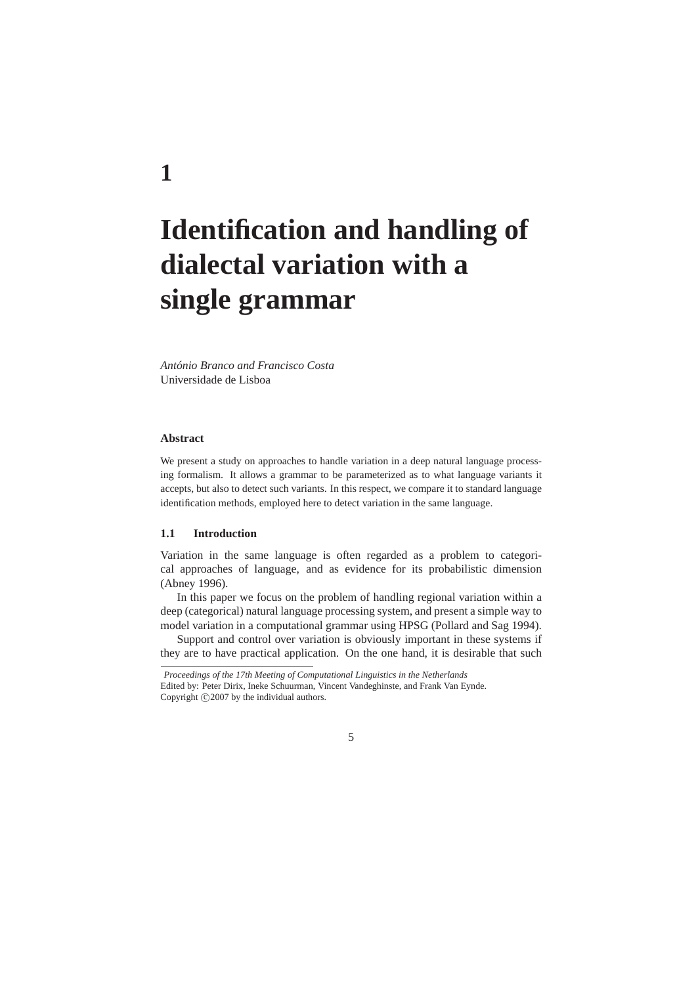# **Identification and handling of dialectal variation with a single grammar**

*Antonio Branco and Francisco Costa ´* Universidade de Lisboa

#### **Abstract**

We present a study on approaches to handle variation in a deep natural language processing formalism. It allows a grammar to be parameterized as to what language variants it accepts, but also to detect such variants. In this respect, we compare it to standard language identification methods, employed here to detect variation in the same language.

# **1.1 Introduction**

Variation in the same language is often regarded as a problem to categorical approaches of language, and as evidence for its probabilistic dimension (Abney 1996).

In this paper we focus on the problem of handling regional variation within a deep (categorical) natural language processing system, and present a simple way to model variation in a computational grammar using HPSG (Pollard and Sag 1994).

Support and control over variation is obviously important in these systems if they are to have practical application. On the one hand, it is desirable that such

# **1**

*Proceedings of the 17th Meeting of Computational Linguistics in the Netherlands* Edited by: Peter Dirix, Ineke Schuurman, Vincent Vandeghinste, and Frank Van Eynde. Copyright  $\odot$  2007 by the individual authors.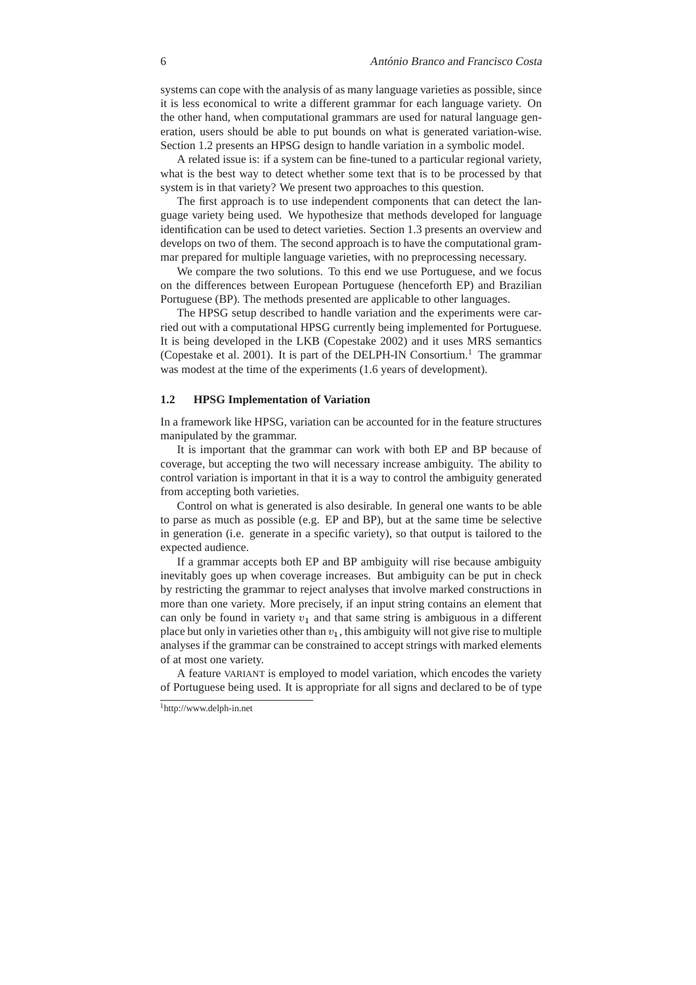systems can cope with the analysis of as many language varieties as possible, since it is less economical to write a different grammar for each language variety. On the other hand, when computational grammars are used for natural language generation, users should be able to put bounds on what is generated variation-wise. Section 1.2 presents an HPSG design to handle variation in a symbolic model.

A related issue is: if a system can be fine-tuned to a particular regional variety, what is the best way to detect whether some text that is to be processed by that system is in that variety? We present two approaches to this question.

The first approach is to use independent components that can detect the language variety being used. We hypothesize that methods developed for language identification can be used to detect varieties. Section 1.3 presents an overview and develops on two of them. The second approach is to have the computational grammar prepared for multiple language varieties, with no preprocessing necessary.

We compare the two solutions. To this end we use Portuguese, and we focus on the differences between European Portuguese (henceforth EP) and Brazilian Portuguese (BP). The methods presented are applicable to other languages.

The HPSG setup described to handle variation and the experiments were carried out with a computational HPSG currently being implemented for Portuguese. It is being developed in the LKB (Copestake 2002) and it uses MRS semantics (Copestake et al. 2001). It is part of the DELPH-IN Consortium.<sup>1</sup> The grammar was modest at the time of the experiments (1.6 years of development).

# **1.2 HPSG Implementation of Variation**

In a framework like HPSG, variation can be accounted for in the feature structures manipulated by the grammar.

It is important that the grammar can work with both EP and BP because of coverage, but accepting the two will necessary increase ambiguity. The ability to control variation is important in that it is a way to control the ambiguity generated from accepting both varieties.

Control on what is generated is also desirable. In general one wants to be able to parse as much as possible (e.g. EP and BP), but at the same time be selective in generation (i.e. generate in a specific variety), so that output is tailored to the expected audience.

If a grammar accepts both EP and BP ambiguity will rise because ambiguity inevitably goes up when coverage increases. But ambiguity can be put in check by restricting the grammar to reject analyses that involve marked constructions in more than one variety. More precisely, if an input string contains an element that can only be found in variety  $v_1$  and that same string is ambiguous in a different place but only in varieties other than  $v_1$ , this ambiguity will not give rise to multiple analyses if the grammar can be constrained to accept strings with marked elements of at most one variety.

A feature VARIANT is employed to model variation, which encodes the variety of Portuguese being used. It is appropriate for all signs and declared to be of type

<sup>1</sup>http://www.delph-in.net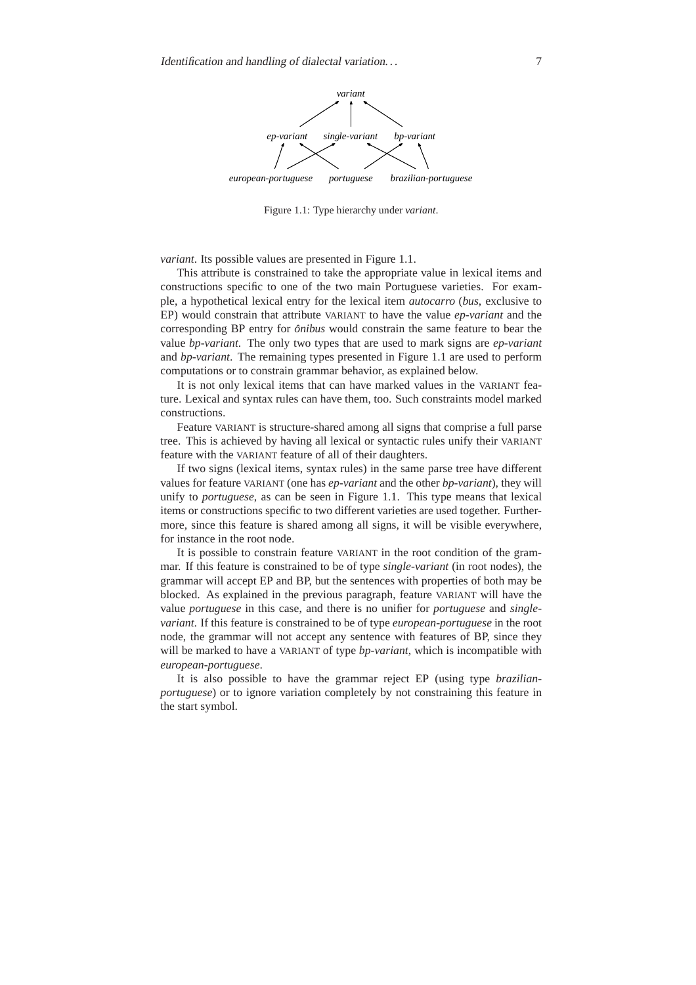

Figure 1.1: Type hierarchy under *variant*.

*variant*. Its possible values are presented in Figure 1.1.

This attribute is constrained to take the appropriate value in lexical items and constructions specific to one of the two main Portuguese varieties. For example, a hypothetical lexical entry for the lexical item *autocarro* (*bus*, exclusive to EP) would constrain that attribute VARIANT to have the value *ep-variant* and the corresponding BP entry for *ônibus* would constrain the same feature to bear the value *bp-variant*. The only two types that are used to mark signs are *ep-variant* and *bp-variant*. The remaining types presented in Figure 1.1 are used to perform computations or to constrain grammar behavior, as explained below.

It is not only lexical items that can have marked values in the VARIANT feature. Lexical and syntax rules can have them, too. Such constraints model marked constructions.

Feature VARIANT is structure-shared among all signs that comprise a full parse tree. This is achieved by having all lexical or syntactic rules unify their VARIANT feature with the VARIANT feature of all of their daughters.

If two signs (lexical items, syntax rules) in the same parse tree have different values for feature VARIANT (one has *ep-variant* and the other *bp-variant*), they will unify to *portuguese*, as can be seen in Figure 1.1. This type means that lexical items or constructions specific to two different varieties are used together. Furthermore, since this feature is shared among all signs, it will be visible everywhere, for instance in the root node.

It is possible to constrain feature VARIANT in the root condition of the grammar. If this feature is constrained to be of type *single-variant* (in root nodes), the grammar will accept EP and BP, but the sentences with properties of both may be blocked. As explained in the previous paragraph, feature VARIANT will have the value *portuguese* in this case, and there is no unifier for *portuguese* and *singlevariant*. If this feature is constrained to be of type *european-portuguese* in the root node, the grammar will not accept any sentence with features of BP, since they will be marked to have a VARIANT of type *bp-variant*, which is incompatible with *european-portuguese*.

It is also possible to have the grammar reject EP (using type *brazilianportuguese*) or to ignore variation completely by not constraining this feature in the start symbol.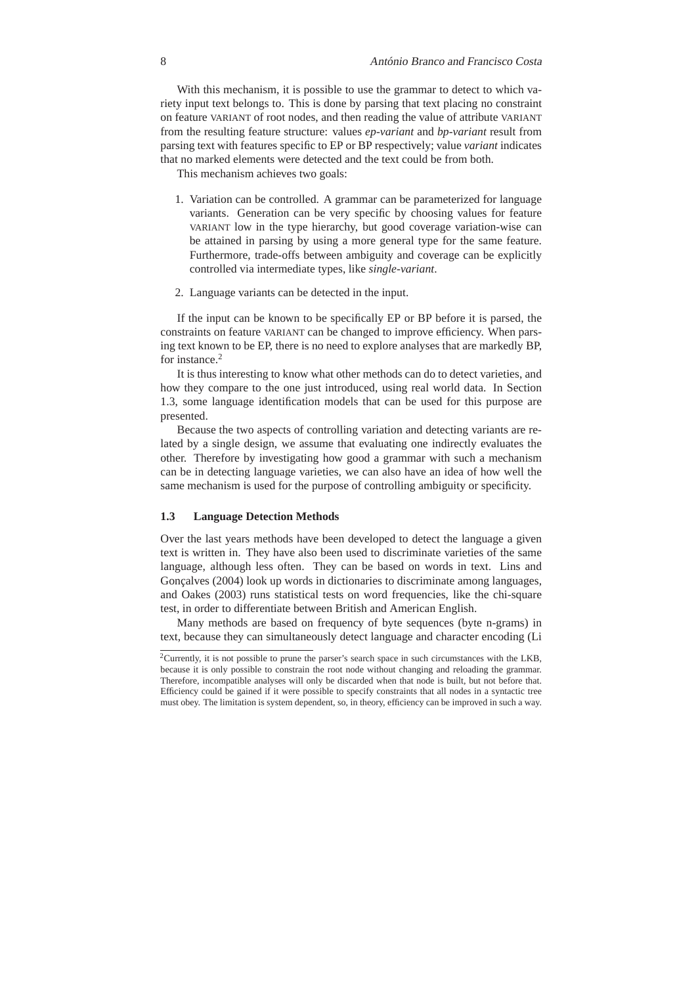With this mechanism, it is possible to use the grammar to detect to which variety input text belongs to. This is done by parsing that text placing no constraint on feature VARIANT of root nodes, and then reading the value of attribute VARIANT from the resulting feature structure: values *ep-variant* and *bp-variant* result from parsing text with features specific to EP or BP respectively; value *variant* indicates that no marked elements were detected and the text could be from both.

This mechanism achieves two goals:

- 1. Variation can be controlled. A grammar can be parameterized for language variants. Generation can be very specific by choosing values for feature VARIANT low in the type hierarchy, but good coverage variation-wise can be attained in parsing by using a more general type for the same feature. Furthermore, trade-offs between ambiguity and coverage can be explicitly controlled via intermediate types, like *single-variant*.
- 2. Language variants can be detected in the input.

If the input can be known to be specifically EP or BP before it is parsed, the constraints on feature VARIANT can be changed to improve efficiency. When parsing text known to be EP, there is no need to explore analyses that are markedly BP, for instance.<sup>2</sup>

It is thus interesting to know what other methods can do to detect varieties, and how they compare to the one just introduced, using real world data. In Section 1.3, some language identification models that can be used for this purpose are presented.

Because the two aspects of controlling variation and detecting variants are related by a single design, we assume that evaluating one indirectly evaluates the other. Therefore by investigating how good a grammar with such a mechanism can be in detecting language varieties, we can also have an idea of how well the same mechanism is used for the purpose of controlling ambiguity or specificity.

#### **1.3 Language Detection Methods**

Over the last years methods have been developed to detect the language a given text is written in. They have also been used to discriminate varieties of the same language, although less often. They can be based on words in text. Lins and Gonçalves (2004) look up words in dictionaries to discriminate among languages, and Oakes (2003) runs statistical tests on word frequencies, like the chi-square test, in order to differentiate between British and American English.

Many methods are based on frequency of byte sequences (byte n-grams) in text, because they can simultaneously detect language and character encoding (Li

<sup>2</sup>Currently, it is not possible to prune the parser's search space in such circumstances with the LKB, because it is only possible to constrain the root node without changing and reloading the grammar. Therefore, incompatible analyses will only be discarded when that node is built, but not before that. Efficiency could be gained if it were possible to specify constraints that all nodes in a syntactic tree must obey. The limitation is system dependent, so, in theory, efficiency can be improved in such a way.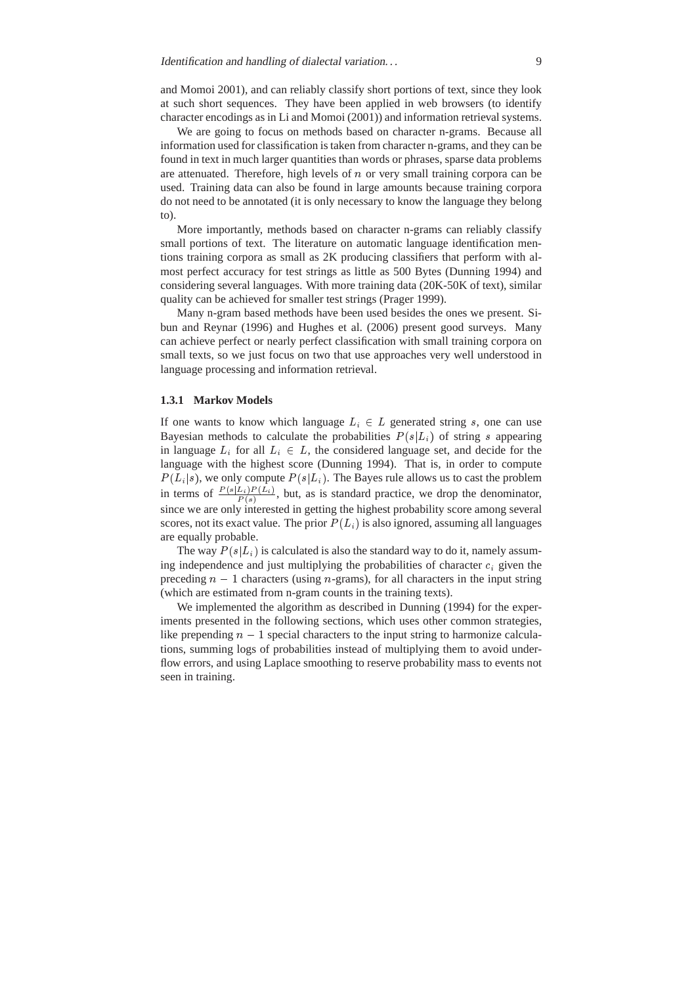and Momoi 2001), and can reliably classify short portions of text, since they look at such short sequences. They have been applied in web browsers (to identify character encodings as in Li and Momoi (2001)) and information retrieval systems.

We are going to focus on methods based on character n-grams. Because all information used for classification is taken from character n-grams, and they can be found in text in much larger quantities than words or phrases, sparse data problems are attenuated. Therefore, high levels of  $n$  or very small training corpora can be used. Training data can also be found in large amounts because training corpora do not need to be annotated (it is only necessary to know the language they belong to).

More importantly, methods based on character n-grams can reliably classify small portions of text. The literature on automatic language identification mentions training corpora as small as 2K producing classifiers that perform with almost perfect accuracy for test strings as little as 500 Bytes (Dunning 1994) and considering several languages. With more training data (20K-50K of text), similar quality can be achieved for smaller test strings (Prager 1999).

Many n-gram based methods have been used besides the ones we present. Sibun and Reynar (1996) and Hughes et al. (2006) present good surveys. Many can achieve perfect or nearly perfect classification with small training corpora on small texts, so we just focus on two that use approaches very well understood in language processing and information retrieval.

#### **1.3.1 Markov Models**

If one wants to know which language  $L_i \in L$  generated string s, one can use Bayesian methods to calculate the probabilities  $P(s|L_i)$  of string s appearing in language  $L_i$  for all  $L_i \in L$ , the considered language set, and decide for the language with the highest score (Dunning 1994). That is, in order to compute  $P(L_i|s)$ , we only compute  $P(s|L_i)$ . The Bayes rule allows us to cast the problem in terms of  $\frac{P(s|L_i)P(L_i)}{P(s)}$ , but, as is standard practice, we drop the denominator, since we are only interested in getting the highest probability score among several scores, not its exact value. The prior  $P(L_i)$  is also ignored, assuming all languages are equally probable.

The way  $P(s|L_i)$  is calculated is also the standard way to do it, namely assuming independence and just multiplying the probabilities of character  $c_i$  given the preceding  $n - 1$  characters (using *n*-grams), for all characters in the input string (which are estimated from n-gram counts in the training texts).

We implemented the algorithm as described in Dunning (1994) for the experiments presented in the following sections, which uses other common strategies, like prepending  $n - 1$  special characters to the input string to harmonize calculations, summing logs of probabilities instead of multiplying them to avoid underflow errors, and using Laplace smoothing to reserve probability mass to events not seen in training.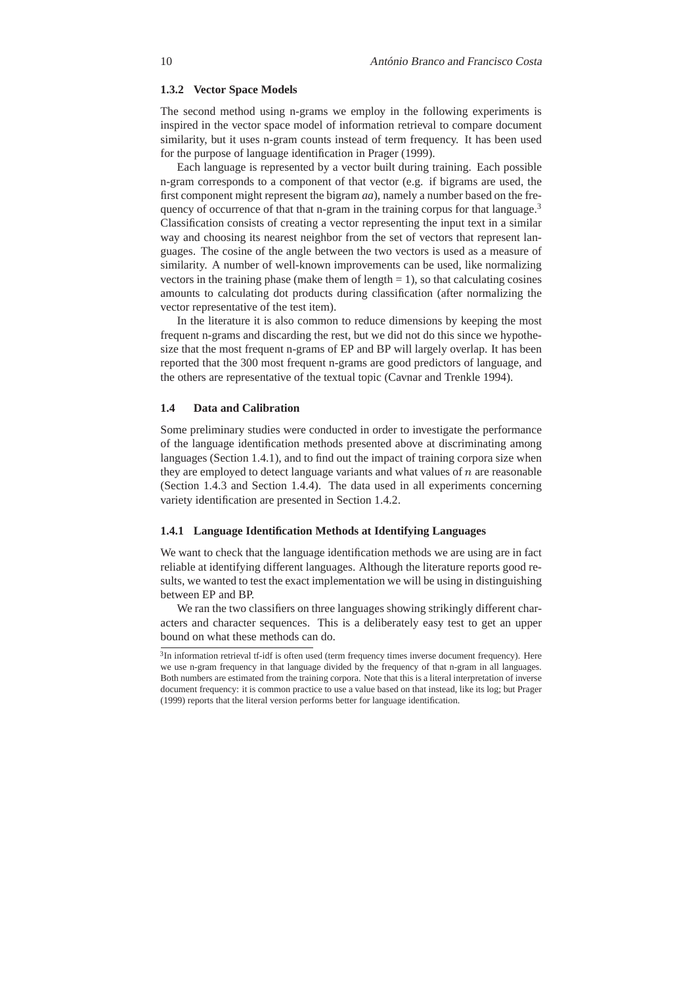# **1.3.2 Vector Space Models**

The second method using n-grams we employ in the following experiments is inspired in the vector space model of information retrieval to compare document similarity, but it uses n-gram counts instead of term frequency. It has been used for the purpose of language identification in Prager (1999).

Each language is represented by a vector built during training. Each possible n-gram corresponds to a component of that vector (e.g. if bigrams are used, the first component might represent the bigram *aa*), namely a number based on the frequency of occurrence of that that n-gram in the training corpus for that language.<sup>3</sup> Classification consists of creating a vector representing the input text in a similar way and choosing its nearest neighbor from the set of vectors that represent languages. The cosine of the angle between the two vectors is used as a measure of similarity. A number of well-known improvements can be used, like normalizing vectors in the training phase (make them of length  $= 1$ ), so that calculating cosines amounts to calculating dot products during classification (after normalizing the vector representative of the test item).

In the literature it is also common to reduce dimensions by keeping the most frequent n-grams and discarding the rest, but we did not do this since we hypothesize that the most frequent n-grams of EP and BP will largely overlap. It has been reported that the 300 most frequent n-grams are good predictors of language, and the others are representative of the textual topic (Cavnar and Trenkle 1994).

# **1.4 Data and Calibration**

Some preliminary studies were conducted in order to investigate the performance of the language identification methods presented above at discriminating among languages (Section 1.4.1), and to find out the impact of training corpora size when they are employed to detect language variants and what values of  $n$  are reasonable (Section 1.4.3 and Section 1.4.4). The data used in all experiments concerning variety identification are presented in Section 1.4.2.

# **1.4.1 Language Identification Methods at Identifying Languages**

We want to check that the language identification methods we are using are in fact reliable at identifying different languages. Although the literature reports good results, we wanted to test the exact implementation we will be using in distinguishing between EP and BP.

We ran the two classifiers on three languages showing strikingly different characters and character sequences. This is a deliberately easy test to get an upper bound on what these methods can do.

<sup>&</sup>lt;sup>3</sup>In information retrieval tf-idf is often used (term frequency times inverse document frequency). Here we use n-gram frequency in that language divided by the frequency of that n-gram in all languages. Both numbers are estimated from the training corpora. Note that this is a literal interpretation of inverse document frequency: it is common practice to use a value based on that instead, like its log; but Prager (1999) reports that the literal version performs better for language identification.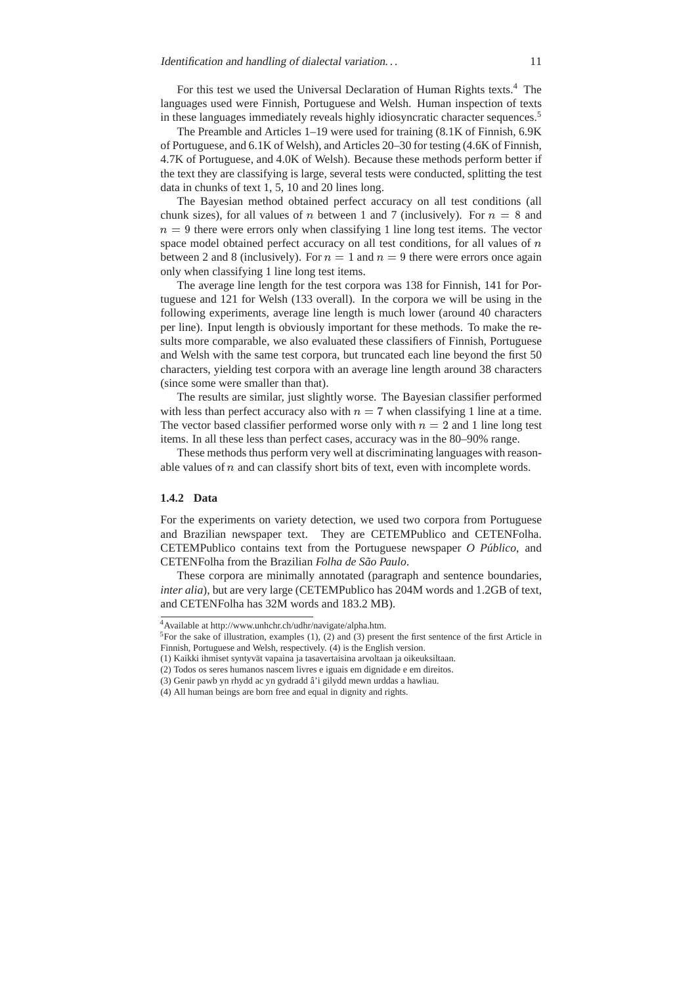For this test we used the Universal Declaration of Human Rights texts.<sup>4</sup> The languages used were Finnish, Portuguese and Welsh. Human inspection of texts in these languages immediately reveals highly idiosyncratic character sequences.<sup>5</sup>

The Preamble and Articles 1–19 were used for training (8.1K of Finnish, 6.9K of Portuguese, and 6.1K of Welsh), and Articles 20–30 for testing (4.6K of Finnish, 4.7K of Portuguese, and 4.0K of Welsh). Because these methods perform better if the text they are classifying is large, several tests were conducted, splitting the test data in chunks of text 1, 5, 10 and 20 lines long.

The Bayesian method obtained perfect accuracy on all test conditions (all chunk sizes), for all values of n between 1 and 7 (inclusively). For  $n = 8$  and  $n = 9$  there were errors only when classifying 1 line long test items. The vector space model obtained perfect accuracy on all test conditions, for all values of  $n$ between 2 and 8 (inclusively). For  $n = 1$  and  $n = 9$  there were errors once again only when classifying 1 line long test items.

The average line length for the test corpora was 138 for Finnish, 141 for Portuguese and 121 for Welsh (133 overall). In the corpora we will be using in the following experiments, average line length is much lower (around 40 characters per line). Input length is obviously important for these methods. To make the results more comparable, we also evaluated these classifiers of Finnish, Portuguese and Welsh with the same test corpora, but truncated each line beyond the first 50 characters, yielding test corpora with an average line length around 38 characters (since some were smaller than that).

The results are similar, just slightly worse. The Bayesian classifier performed with less than perfect accuracy also with  $n = 7$  when classifying 1 line at a time. The vector based classifier performed worse only with  $n = 2$  and 1 line long test items. In all these less than perfect cases, accuracy was in the 80–90% range.

These methods thus perform very well at discriminating languages with reasonable values of  $n$  and can classify short bits of text, even with incomplete words.

#### **1.4.2 Data**

For the experiments on variety detection, we used two corpora from Portuguese and Brazilian newspaper text. They are CETEMPublico and CETENFolha. CETEMPublico contains text from the Portuguese newspaper *O Publico ´* , and CETENFolha from the Brazilian *Folha de São Paulo*.

These corpora are minimally annotated (paragraph and sentence boundaries, *inter alia*), but are very large (CETEMPublico has 204M words and 1.2GB of text, and CETENFolha has 32M words and 183.2 MB).

<sup>4</sup>Available at http://www.unhchr.ch/udhr/navigate/alpha.htm.

<sup>&</sup>lt;sup>5</sup>For the sake of illustration, examples (1), (2) and (3) present the first sentence of the first Article in Finnish, Portuguese and Welsh, respectively. (4) is the English version.

<sup>(1)</sup> Kaikki ihmiset syntyvat vapaina ja tasavertaisina arvoltaan ja oikeuksiltaan. ¨

<sup>(2)</sup> Todos os seres humanos nascem livres e iguais em dignidade e em direitos.

<sup>(3)</sup> Genir pawb yn rhydd ac yn gydradd â'i gilydd mewn urddas a hawliau.

<sup>(4)</sup> All human beings are born free and equal in dignity and rights.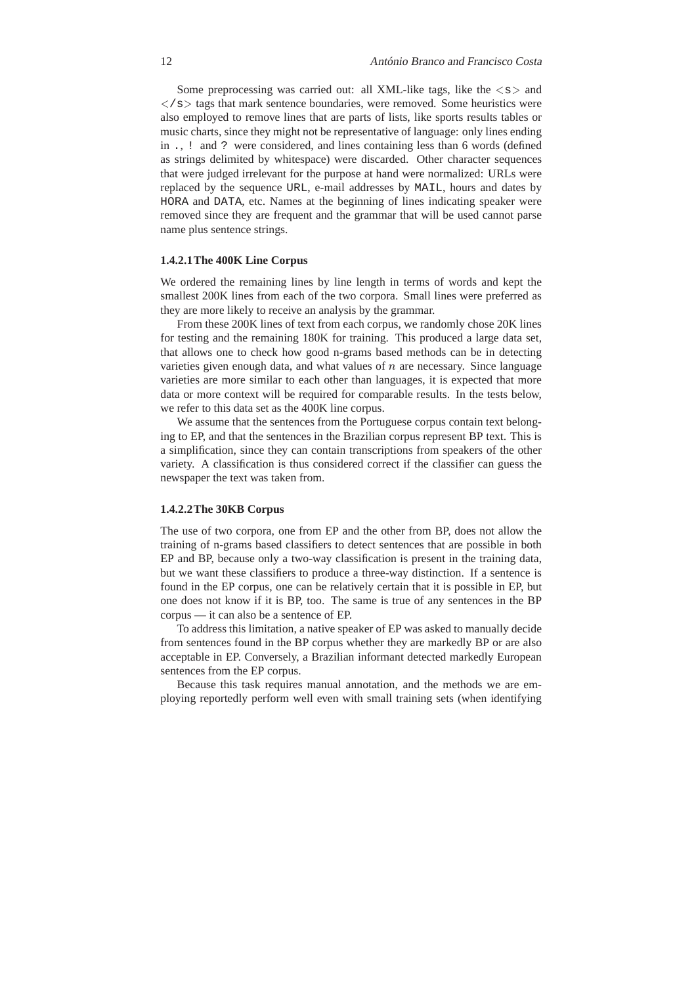Some preprocessing was carried out: all XML-like tags, like the  $\langle s \rangle$  and  $\langle$  s  $>$  tags that mark sentence boundaries, were removed. Some heuristics were also employed to remove lines that are parts of lists, like sports results tables or music charts, since they might not be representative of language: only lines ending in ., ! and ? were considered, and lines containing less than 6 words (defined as strings delimited by whitespace) were discarded. Other character sequences that were judged irrelevant for the purpose at hand were normalized: URLs were replaced by the sequence URL, e-mail addresses by MAIL, hours and dates by HORA and DATA, etc. Names at the beginning of lines indicating speaker were removed since they are frequent and the grammar that will be used cannot parse name plus sentence strings.

# **1.4.2.1The 400K Line Corpus**

We ordered the remaining lines by line length in terms of words and kept the smallest 200K lines from each of the two corpora. Small lines were preferred as they are more likely to receive an analysis by the grammar.

From these 200K lines of text from each corpus, we randomly chose 20K lines for testing and the remaining 180K for training. This produced a large data set, that allows one to check how good n-grams based methods can be in detecting varieties given enough data, and what values of  $n$  are necessary. Since language varieties are more similar to each other than languages, it is expected that more data or more context will be required for comparable results. In the tests below, we refer to this data set as the 400K line corpus.

We assume that the sentences from the Portuguese corpus contain text belonging to EP, and that the sentences in the Brazilian corpus represent BP text. This is a simplification, since they can contain transcriptions from speakers of the other variety. A classification is thus considered correct if the classifier can guess the newspaper the text was taken from.

# **1.4.2.2The 30KB Corpus**

The use of two corpora, one from EP and the other from BP, does not allow the training of n-grams based classifiers to detect sentences that are possible in both EP and BP, because only a two-way classification is present in the training data, but we want these classifiers to produce a three-way distinction. If a sentence is found in the EP corpus, one can be relatively certain that it is possible in EP, but one does not know if it is BP, too. The same is true of any sentences in the BP corpus — it can also be a sentence of EP.

To address this limitation, a native speaker of EP was asked to manually decide from sentences found in the BP corpus whether they are markedly BP or are also acceptable in EP. Conversely, a Brazilian informant detected markedly European sentences from the EP corpus.

Because this task requires manual annotation, and the methods we are employing reportedly perform well even with small training sets (when identifying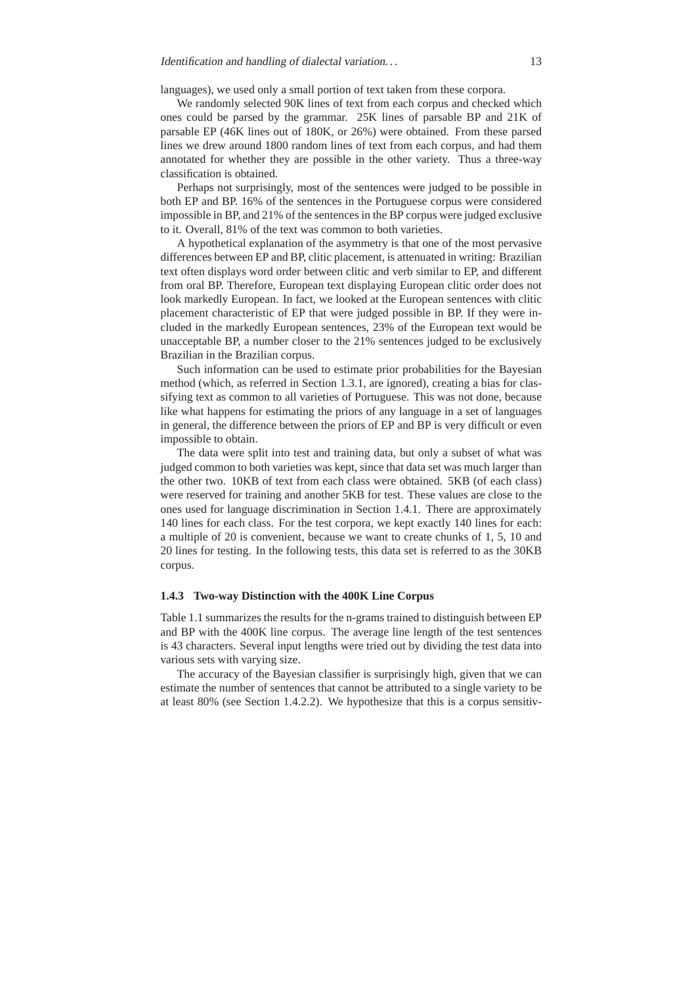languages), we used only a small portion of text taken from these corpora.

We randomly selected 90K lines of text from each corpus and checked which ones could be parsed by the grammar. 25K lines of parsable BP and 21K of parsable EP (46K lines out of 180K, or 26%) were obtained. From these parsed lines we drew around 1800 random lines of text from each corpus, and had them annotated for whether they are possible in the other variety. Thus a three-way classification is obtained.

Perhaps not surprisingly, most of the sentences were judged to be possible in both EP and BP. 16% of the sentences in the Portuguese corpus were considered impossible in BP, and 21% of the sentences in the BP corpus were judged exclusive to it. Overall, 81% of the text was common to both varieties.

A hypothetical explanation of the asymmetry is that one of the most pervasive differences between EP and BP, clitic placement, is attenuated in writing: Brazilian text often displays word order between clitic and verb similar to EP, and different from oral BP. Therefore, European text displaying European clitic order does not look markedly European. In fact, we looked at the European sentences with clitic placement characteristic of EP that were judged possible in BP. If they were included in the markedly European sentences, 23% of the European text would be unacceptable BP, a number closer to the 21% sentences judged to be exclusively Brazilian in the Brazilian corpus.

Such information can be used to estimate prior probabilities for the Bayesian method (which, as referred in Section 1.3.1, are ignored), creating a bias for classifying text as common to all varieties of Portuguese. This was not done, because like what happens for estimating the priors of any language in a set of languages in general, the difference between the priors of EP and BP is very difficult or even impossible to obtain.

The data were split into test and training data, but only a subset of what was judged common to both varieties was kept, since that data set was much larger than the other two. 10KB of text from each class were obtained. 5KB (of each class) were reserved for training and another 5KB for test. These values are close to the ones used for language discrimination in Section 1.4.1. There are approximately 140 lines for each class. For the test corpora, we kept exactly 140 lines for each: a multiple of 20 is convenient, because we want to create chunks of 1, 5, 10 and 20 lines for testing. In the following tests, this data set is referred to as the 30KB corpus.

# **1.4.3 Two-way Distinction with the 400K Line Corpus**

Table 1.1 summarizes the results for the n-grams trained to distinguish between EP and BP with the 400K line corpus. The average line length of the test sentences is 43 characters. Several input lengths were tried out by dividing the test data into various sets with varying size.

The accuracy of the Bayesian classifier is surprisingly high, given that we can estimate the number of sentences that cannot be attributed to a single variety to be at least 80% (see Section 1.4.2.2). We hypothesize that this is a corpus sensitiv-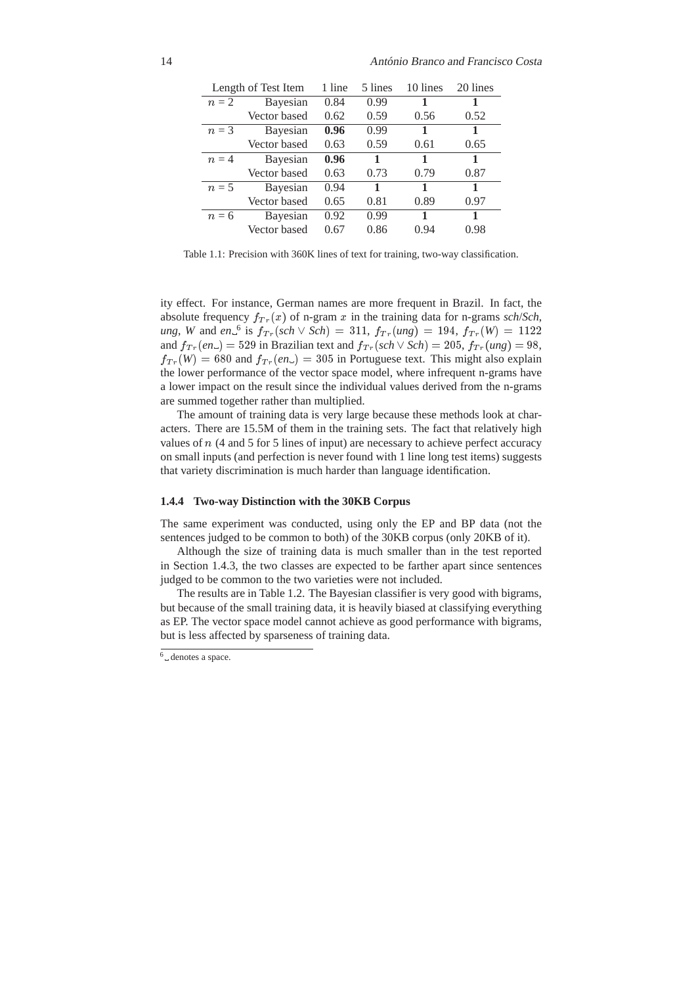| Length of Test Item |                 | 1 line | 5 lines | 10 lines | 20 lines |
|---------------------|-----------------|--------|---------|----------|----------|
| $n=2$               | Bayesian        | 0.84   | 0.99    | 1        | 1        |
|                     | Vector based    | 0.62   | 0.59    | 0.56     | 0.52     |
| $n=3$               | <b>Bayesian</b> | 0.96   | 0.99    | 1        | 1        |
|                     | Vector based    | 0.63   | 0.59    | 0.61     | 0.65     |
| $n=4$               | Bayesian        | 0.96   | 1       | 1        | 1        |
|                     | Vector based    | 0.63   | 0.73    | 0.79     | 0.87     |
| $n=5$               | Bayesian        | 0.94   | 1       | 1        | 1        |
|                     | Vector based    | 0.65   | 0.81    | 0.89     | 0.97     |
| $n = 6$             | Bayesian        | 0.92   | 0.99    | 1        | 1        |
|                     | Vector based    | 0.67   | 0.86    | 0.94     | 0.98     |

Table 1.1: Precision with 360K lines of text for training, two-way classification.

ity effect. For instance, German names are more frequent in Brazil. In fact, the absolute frequency  $f_{Tr}(x)$  of n-gram x in the training data for n-grams *sch/Sch*,  $u_n, W$  and  $e_n$ <sup>6</sup> is  $f_{Tr}(sch \vee Sch) = 311$ ,  $f_{Tr}(ung) = 194$ ,  $f_{Tr}(W) = 1122$ and  $f_{Tr}(en_{-}) = 529$  in Brazilian text and  $f_{Tr}(sch \vee Sch) = 205$ ,  $f_{Tr}(ung) = 98$ ,  $f_{Tr}(W) = 680$  and  $f_{Tr}(en_{-}) = 305$  in Portuguese text. This might also explain the lower performance of the vector space model, where infrequent n-grams have a lower impact on the result since the individual values derived from the n-grams are summed together rather than multiplied.

The amount of training data is very large because these methods look at characters. There are 15.5M of them in the training sets. The fact that relatively high values of n (4 and 5 for 5 lines of input) are necessary to achieve perfect accuracy on small inputs (and perfection is never found with 1 line long test items) suggests that variety discrimination is much harder than language identification.

#### **1.4.4 Two-way Distinction with the 30KB Corpus**

The same experiment was conducted, using only the EP and BP data (not the sentences judged to be common to both) of the 30KB corpus (only 20KB of it).

Although the size of training data is much smaller than in the test reported in Section 1.4.3, the two classes are expected to be farther apart since sentences judged to be common to the two varieties were not included.

The results are in Table 1.2. The Bayesian classifier is very good with bigrams, but because of the small training data, it is heavily biased at classifying everything as EP. The vector space model cannot achieve as good performance with bigrams, but is less affected by sparseness of training data.

<sup>6</sup> denotes a space.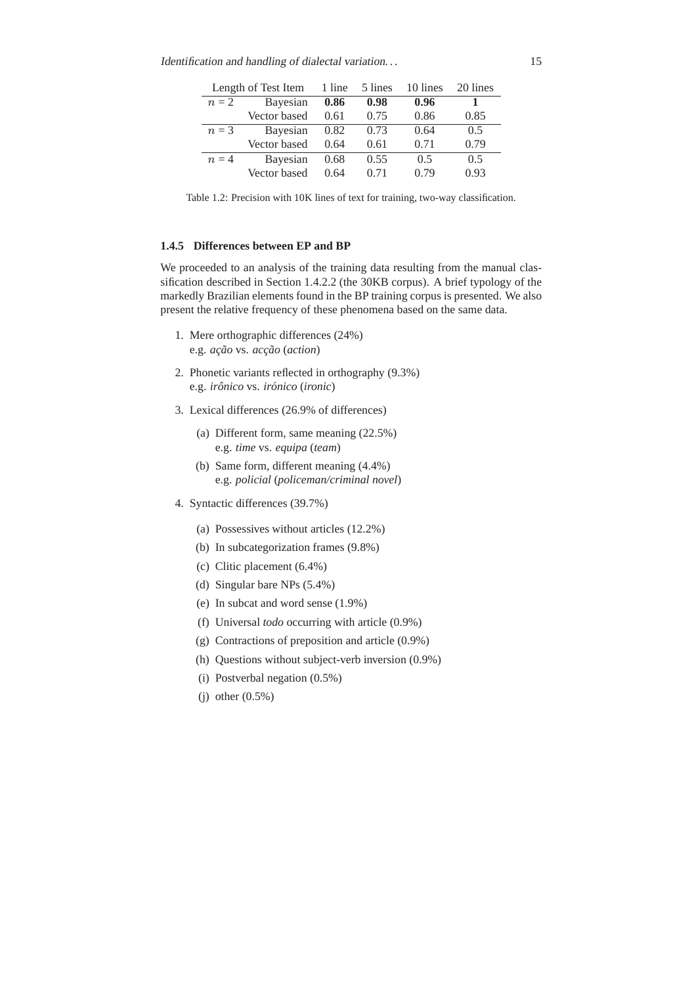| Length of Test Item |              | 1 line | 5 lines | 10 lines | 20 lines |
|---------------------|--------------|--------|---------|----------|----------|
| $n=2$               | Bayesian     | 0.86   | 0.98    | 0.96     |          |
|                     | Vector based | 0.61   | 0.75    | 0.86     | 0.85     |
| $n=3$               | Bayesian     | 0.82   | 0.73    | 0.64     | 0.5      |
|                     | Vector based | 0.64   | 0.61    | 0.71     | 0.79     |
| $n=4$               | Bayesian     | 0.68   | 0.55    | 0.5      | 0.5      |
|                     | Vector based | 0.64   | 0.71    | 0.79     | 0.93     |

Table 1.2: Precision with 10K lines of text for training, two-way classification.

# **1.4.5 Differences between EP and BP**

We proceeded to an analysis of the training data resulting from the manual classification described in Section 1.4.2.2 (the 30KB corpus). A brief typology of the markedly Brazilian elements found in the BP training corpus is presented. We also present the relative frequency of these phenomena based on the same data.

- 1. Mere orthographic differences (24%) e.g. *ac¸ao˜* vs. *acc¸ao˜* (*action*)
- 2. Phonetic variants reflected in orthography (9.3%) e.g. *ironico ˆ* vs. *ironico ´* (*ironic*)
- 3. Lexical differences (26.9% of differences)
	- (a) Different form, same meaning (22.5%) e.g. *time* vs. *equipa* (*team*)
	- (b) Same form, different meaning (4.4%) e.g. *policial* (*policeman/criminal novel*)
- 4. Syntactic differences (39.7%)
	- (a) Possessives without articles (12.2%)
	- (b) In subcategorization frames (9.8%)
	- (c) Clitic placement (6.4%)
	- (d) Singular bare NPs (5.4%)
	- (e) In subcat and word sense (1.9%)
	- (f) Universal *todo* occurring with article (0.9%)
	- (g) Contractions of preposition and article (0.9%)
	- (h) Questions without subject-verb inversion (0.9%)
	- (i) Postverbal negation (0.5%)
	- (j) other (0.5%)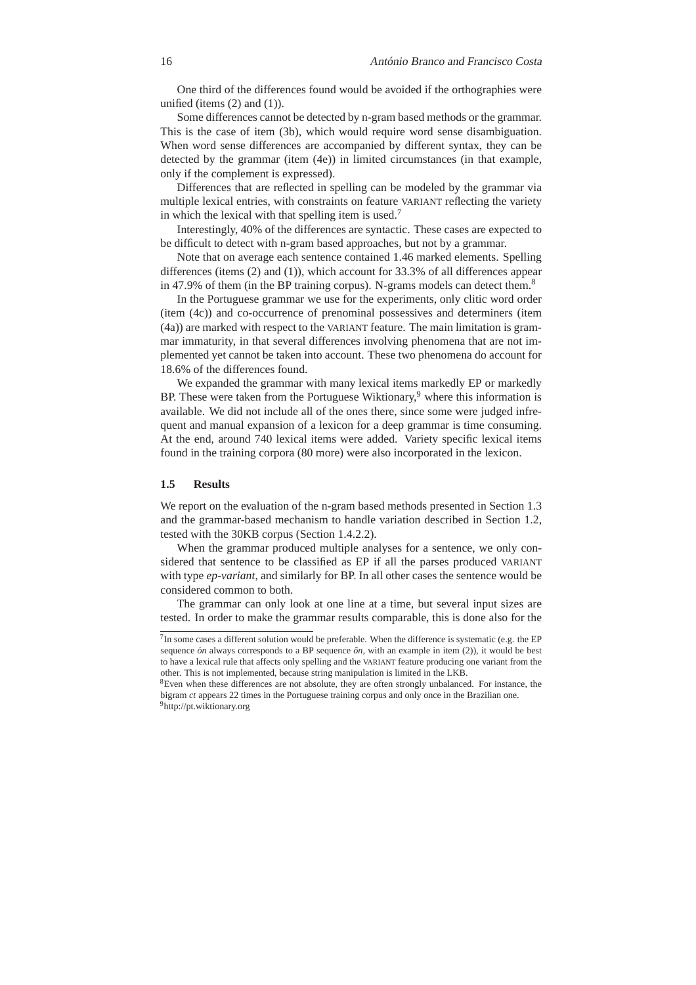One third of the differences found would be avoided if the orthographies were unified (items  $(2)$  and  $(1)$ ).

Some differences cannot be detected by n-gram based methods or the grammar. This is the case of item (3b), which would require word sense disambiguation. When word sense differences are accompanied by different syntax, they can be detected by the grammar (item (4e)) in limited circumstances (in that example, only if the complement is expressed).

Differences that are reflected in spelling can be modeled by the grammar via multiple lexical entries, with constraints on feature VARIANT reflecting the variety in which the lexical with that spelling item is used.<sup>7</sup>

Interestingly, 40% of the differences are syntactic. These cases are expected to be difficult to detect with n-gram based approaches, but not by a grammar.

Note that on average each sentence contained 1.46 marked elements. Spelling differences (items (2) and (1)), which account for 33.3% of all differences appear in 47.9% of them (in the BP training corpus). N-grams models can detect them.<sup>8</sup>

In the Portuguese grammar we use for the experiments, only clitic word order (item (4c)) and co-occurrence of prenominal possessives and determiners (item (4a)) are marked with respect to the VARIANT feature. The main limitation is grammar immaturity, in that several differences involving phenomena that are not implemented yet cannot be taken into account. These two phenomena do account for 18.6% of the differences found.

We expanded the grammar with many lexical items markedly EP or markedly BP. These were taken from the Portuguese Wiktionary,<sup>9</sup> where this information is available. We did not include all of the ones there, since some were judged infrequent and manual expansion of a lexicon for a deep grammar is time consuming. At the end, around 740 lexical items were added. Variety specific lexical items found in the training corpora (80 more) were also incorporated in the lexicon.

# **1.5 Results**

We report on the evaluation of the n-gram based methods presented in Section 1.3 and the grammar-based mechanism to handle variation described in Section 1.2, tested with the 30KB corpus (Section 1.4.2.2).

When the grammar produced multiple analyses for a sentence, we only considered that sentence to be classified as EP if all the parses produced VARIANT with type *ep-variant*, and similarly for BP. In all other cases the sentence would be considered common to both.

The grammar can only look at one line at a time, but several input sizes are tested. In order to make the grammar results comparable, this is done also for the

 $<sup>7</sup>$ In some cases a different solution would be preferable. When the difference is systematic (e.g. the EP</sup> sequence *on* always corresponds to a BP sequence  $\partial n$ , with an example in item (2)), it would be best to have a lexical rule that affects only spelling and the VARIANT feature producing one variant from the other. This is not implemented, because string manipulation is limited in the LKB.

<sup>8</sup>Even when these differences are not absolute, they are often strongly unbalanced. For instance, the bigram *ct* appears 22 times in the Portuguese training corpus and only once in the Brazilian one. <sup>9</sup>http://pt.wiktionary.org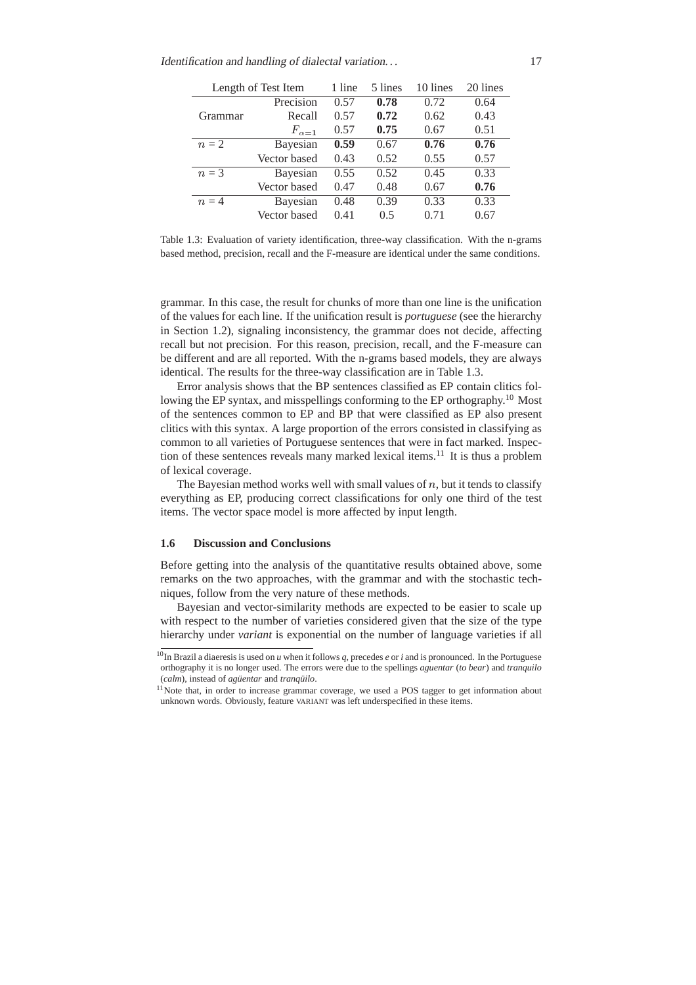| Length of Test Item |                | 1 line | 5 lines | 10 lines | 20 lines |
|---------------------|----------------|--------|---------|----------|----------|
|                     | Precision      | 0.57   | 0.78    | 0.72     | 0.64     |
| Grammar             | Recall         | 0.57   | 0.72    | 0.62     | 0.43     |
|                     | $F_{\alpha=1}$ | 0.57   | 0.75    | 0.67     | 0.51     |
| $n=2$               | Bayesian       | 0.59   | 0.67    | 0.76     | 0.76     |
|                     | Vector based   | 0.43   | 0.52    | 0.55     | 0.57     |
| $n=3$               | Bayesian       | 0.55   | 0.52    | 0.45     | 0.33     |
|                     | Vector based   | 0.47   | 0.48    | 0.67     | 0.76     |
| $n=4$               | Bayesian       | 0.48   | 0.39    | 0.33     | 0.33     |
|                     | Vector based   | 0.41   | 0.5     | 0.71     | 0.67     |

Table 1.3: Evaluation of variety identification, three-way classification. With the n-grams based method, precision, recall and the F-measure are identical under the same conditions.

grammar. In this case, the result for chunks of more than one line is the unification of the values for each line. If the unification result is *portuguese* (see the hierarchy in Section 1.2), signaling inconsistency, the grammar does not decide, affecting recall but not precision. For this reason, precision, recall, and the F-measure can be different and are all reported. With the n-grams based models, they are always identical. The results for the three-way classification are in Table 1.3.

Error analysis shows that the BP sentences classified as EP contain clitics following the EP syntax, and misspellings conforming to the EP orthography.<sup>10</sup> Most of the sentences common to EP and BP that were classified as EP also present clitics with this syntax. A large proportion of the errors consisted in classifying as common to all varieties of Portuguese sentences that were in fact marked. Inspection of these sentences reveals many marked lexical items.<sup>11</sup> It is thus a problem of lexical coverage.

The Bayesian method works well with small values of  $n$ , but it tends to classify everything as EP, producing correct classifications for only one third of the test items. The vector space model is more affected by input length.

# **1.6 Discussion and Conclusions**

Before getting into the analysis of the quantitative results obtained above, some remarks on the two approaches, with the grammar and with the stochastic techniques, follow from the very nature of these methods.

Bayesian and vector-similarity methods are expected to be easier to scale up with respect to the number of varieties considered given that the size of the type hierarchy under *variant* is exponential on the number of language varieties if all

<sup>10</sup>In Brazil a diaeresis is used on *u* when it follows *q*, precedes *e* or *i* and is pronounced. In the Portuguese orthography it is no longer used. The errors were due to the spellings *aguentar* (*to bear*) and *tranquilo* (*calm*), instead of *agüentar* and *tranquilo*.

<sup>&</sup>lt;sup>11</sup>Note that, in order to increase grammar coverage, we used a POS tagger to get information about unknown words. Obviously, feature VARIANT was left underspecified in these items.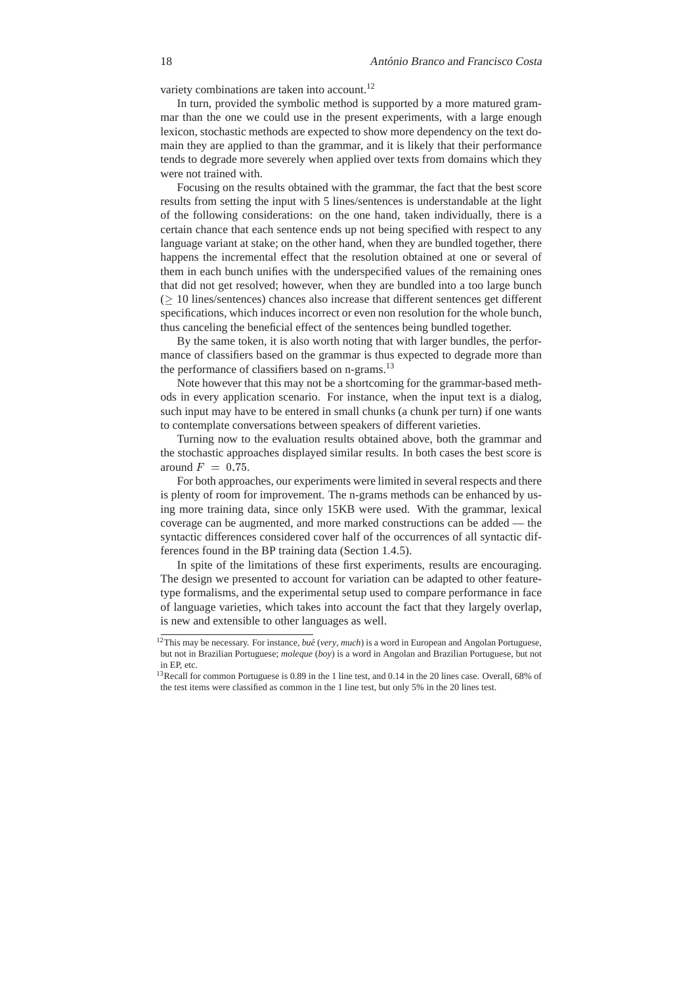variety combinations are taken into account.<sup>12</sup>

In turn, provided the symbolic method is supported by a more matured grammar than the one we could use in the present experiments, with a large enough lexicon, stochastic methods are expected to show more dependency on the text domain they are applied to than the grammar, and it is likely that their performance tends to degrade more severely when applied over texts from domains which they were not trained with.

Focusing on the results obtained with the grammar, the fact that the best score results from setting the input with 5 lines/sentences is understandable at the light of the following considerations: on the one hand, taken individually, there is a certain chance that each sentence ends up not being specified with respect to any language variant at stake; on the other hand, when they are bundled together, there happens the incremental effect that the resolution obtained at one or several of them in each bunch unifies with the underspecified values of the remaining ones that did not get resolved; however, when they are bundled into a too large bunch  $( \geq 10$  lines/sentences) chances also increase that different sentences get different specifications, which induces incorrect or even non resolution for the whole bunch, thus canceling the beneficial effect of the sentences being bundled together.

By the same token, it is also worth noting that with larger bundles, the performance of classifiers based on the grammar is thus expected to degrade more than the performance of classifiers based on n-grams.<sup>13</sup>

Note however that this may not be a shortcoming for the grammar-based methods in every application scenario. For instance, when the input text is a dialog, such input may have to be entered in small chunks (a chunk per turn) if one wants to contemplate conversations between speakers of different varieties.

Turning now to the evaluation results obtained above, both the grammar and the stochastic approaches displayed similar results. In both cases the best score is around  $F = 0.75$ .

For both approaches, our experiments were limited in several respects and there is plenty of room for improvement. The n-grams methods can be enhanced by using more training data, since only 15KB were used. With the grammar, lexical coverage can be augmented, and more marked constructions can be added — the syntactic differences considered cover half of the occurrences of all syntactic differences found in the BP training data (Section 1.4.5).

In spite of the limitations of these first experiments, results are encouraging. The design we presented to account for variation can be adapted to other featuretype formalisms, and the experimental setup used to compare performance in face of language varieties, which takes into account the fact that they largely overlap, is new and extensible to other languages as well.

<sup>&</sup>lt;sup>12</sup>This may be necessary. For instance, *bué* (*very*, *much*) is a word in European and Angolan Portuguese, but not in Brazilian Portuguese; *moleque* (*boy*) is a word in Angolan and Brazilian Portuguese, but not in EP, etc.

<sup>&</sup>lt;sup>13</sup>Recall for common Portuguese is 0.89 in the 1 line test, and 0.14 in the 20 lines case. Overall, 68% of the test items were classified as common in the 1 line test, but only 5% in the 20 lines test.